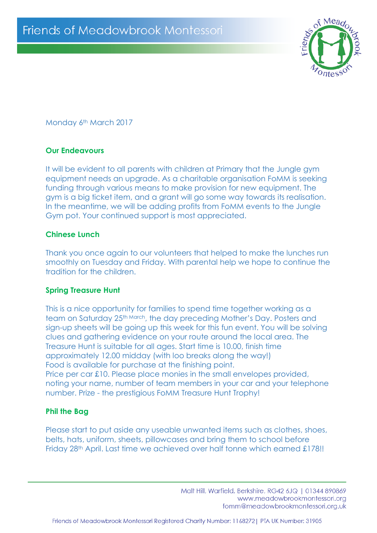

Monday 6<sup>th</sup> March 2017

# **Our Endeavours**

It will be evident to all parents with children at Primary that the Jungle gym equipment needs an upgrade. As a charitable organisation FoMM is seeking funding through various means to make provision for new equipment. The gym is a big ticket item, and a grant will go some way towards its realisation. In the meantime, we will be adding profits from FoMM events to the Jungle Gym pot. Your continued support is most appreciated.

# **Chinese Lunch**

Thank you once again to our volunteers that helped to make the lunches run smoothly on Tuesday and Friday. With parental help we hope to continue the tradition for the children.

### **Spring Treasure Hunt**

This is a nice opportunity for families to spend time together working as a team on Saturday 25th March, the day preceding Mother's Day. Posters and sign-up sheets will be going up this week for this fun event. You will be solving clues and gathering evidence on your route around the local area. The Treasure Hunt is suitable for all ages. Start time is 10.00, finish time approximately 12.00 midday (with loo breaks along the way!) Food is available for purchase at the finishing point. Price per car £10. Please place monies in the small envelopes provided, noting your name, number of team members in your car and your telephone number. Prize - the prestigious FoMM Treasure Hunt Trophy!

### **Phil the Bag**

Please start to put aside any useable unwanted items such as clothes, shoes, belts, hats, uniform, sheets, pillowcases and bring them to school before Friday 28<sup>th</sup> April. Last time we achieved over half tonne which earned £178!!